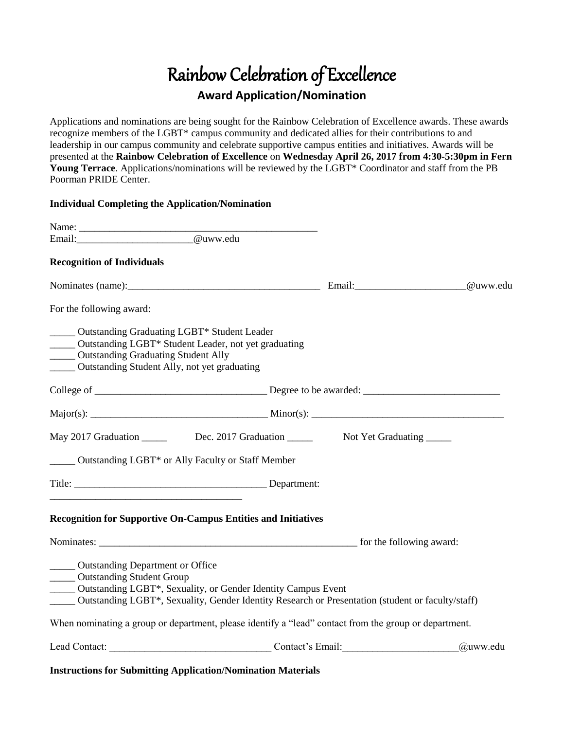# Rainbow Celebration of Excellence **Award Application/Nomination**

Applications and nominations are being sought for the Rainbow Celebration of Excellence awards. These awards recognize members of the LGBT\* campus community and dedicated allies for their contributions to and leadership in our campus community and celebrate supportive campus entities and initiatives. Awards will be presented at the **Rainbow Celebration of Excellence** on **Wednesday April 26, 2017 from 4:30-5:30pm in Fern Young Terrace**. Applications/nominations will be reviewed by the LGBT\* Coordinator and staff from the PB Poorman PRIDE Center.

#### **Individual Completing the Application/Nomination**

| <b>Recognition of Individuals</b>                                                                                                                                                                                                                                   |          |
|---------------------------------------------------------------------------------------------------------------------------------------------------------------------------------------------------------------------------------------------------------------------|----------|
|                                                                                                                                                                                                                                                                     |          |
| For the following award:                                                                                                                                                                                                                                            |          |
| _____ Outstanding Graduating LGBT* Student Leader<br>_____ Outstanding LGBT* Student Leader, not yet graduating<br>_____ Outstanding Graduating Student Ally<br>______ Outstanding Student Ally, not yet graduating                                                 |          |
|                                                                                                                                                                                                                                                                     |          |
|                                                                                                                                                                                                                                                                     |          |
| May 2017 Graduation ________ Dec. 2017 Graduation ________ Not Yet Graduating _____                                                                                                                                                                                 |          |
| ______ Outstanding LGBT* or Ally Faculty or Staff Member                                                                                                                                                                                                            |          |
|                                                                                                                                                                                                                                                                     |          |
| <b>Recognition for Supportive On-Campus Entities and Initiatives</b>                                                                                                                                                                                                |          |
|                                                                                                                                                                                                                                                                     |          |
| ______ Outstanding Department or Office<br><b>COULD</b> Outstanding Student Group<br>_____ Outstanding LGBT*, Sexuality, or Gender Identity Campus Event<br>_____ Outstanding LGBT*, Sexuality, Gender Identity Research or Presentation (student or faculty/staff) |          |
| When nominating a group or department, please identify a "lead" contact from the group or department.                                                                                                                                                               |          |
| Lead Contact: Contact Contact Contact Contact Contact Contact Contact Contact Contact Contact Contact Contact Contact Contact Contact Contact Contact Contact Contact Contact Contact Contact Contact Contact Contact Contact                                       | @uww.edu |

**Instructions for Submitting Application/Nomination Materials**